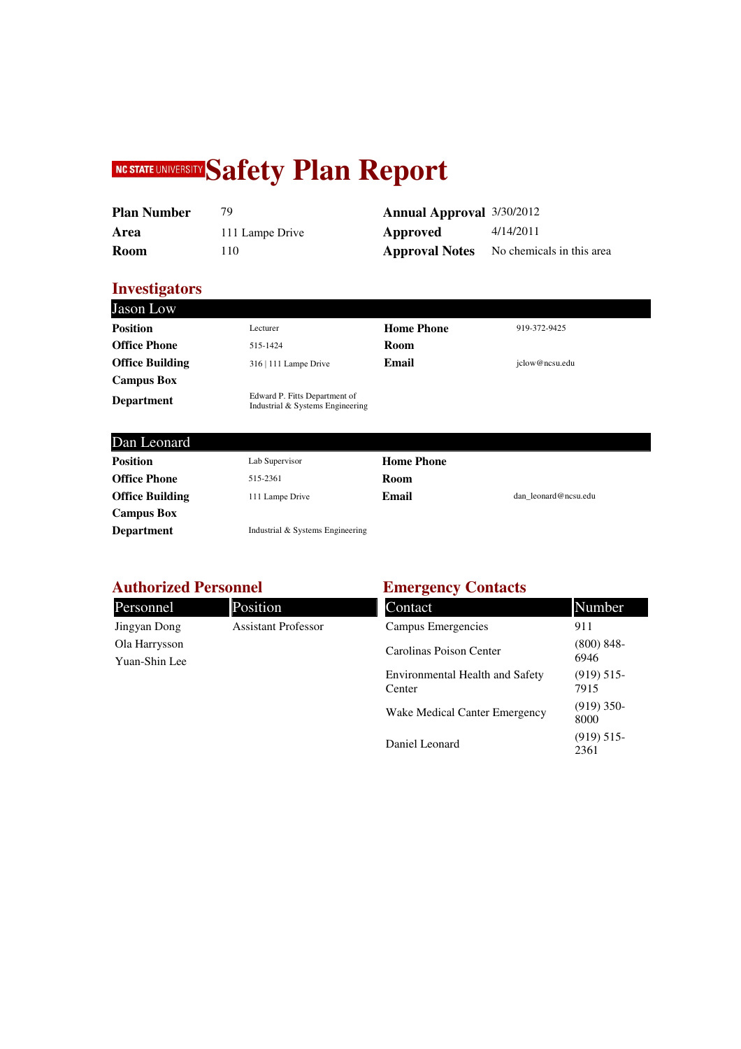# **NC STATE UNIVERSITY Safety Plan Report**

| <b>Plan Number</b> |                 | <b>Annual Approval</b> 3/30/2012 |           |
|--------------------|-----------------|----------------------------------|-----------|
| Area               | 111 Lampe Drive | Approved                         | 4/14/2011 |
| <b>Room</b>        | ' 10-           | <b>Approval Notes</b>            | No chemic |

| Plan Number |                 | <b>Annual Approval</b> 3/30/2012 |                                                 |
|-------------|-----------------|----------------------------------|-------------------------------------------------|
| Area        | 111 Lampe Drive | Approved                         | 4/14/2011                                       |
| Room        | l 10            |                                  | <b>Approval Notes</b> No chemicals in this area |

#### **Investigators**

**Campus Box** 

| <b>Jason Low</b>       |                                                                   |                   |                      |
|------------------------|-------------------------------------------------------------------|-------------------|----------------------|
| <b>Position</b>        | Lecturer                                                          | <b>Home Phone</b> | 919-372-9425         |
| <b>Office Phone</b>    | 515-1424                                                          | Room              |                      |
| <b>Office Building</b> | 316   111 Lampe Drive                                             | Email             | iclow@ncsu.edu       |
| <b>Campus Box</b>      |                                                                   |                   |                      |
| <b>Department</b>      | Edward P. Fitts Department of<br>Industrial & Systems Engineering |                   |                      |
| Dan Leonard            |                                                                   |                   |                      |
| <b>Position</b>        | Lab Supervisor                                                    | <b>Home Phone</b> |                      |
| <b>Office Phone</b>    | 515-2361                                                          | Room              |                      |
| <b>Office Building</b> | 111 Lampe Drive                                                   | Email             | dan leonard@ncsu.edu |

### **Authorized Personnel**

**Department Industrial & Systems Engineering** 

| <b>Authorized Personnel</b>    |                            | <b>Emergency Contacts</b>                        |                       |
|--------------------------------|----------------------------|--------------------------------------------------|-----------------------|
| Personnel                      | Position                   | Contact                                          | Number                |
| Jingyan Dong                   | <b>Assistant Professor</b> | Campus Emergencies                               | 911                   |
| Ola Harrysson<br>Yuan-Shin Lee |                            | Carolinas Poison Center                          | $(800) 848 -$<br>6946 |
|                                |                            | <b>Environmental Health and Safety</b><br>Center | (919) 515<br>7915     |
|                                |                            | Wake Medical Canter Emergency                    | $(919)$ 350-<br>8000  |
|                                |                            | Daniel Leonard                                   | (919) 515<br>2361     |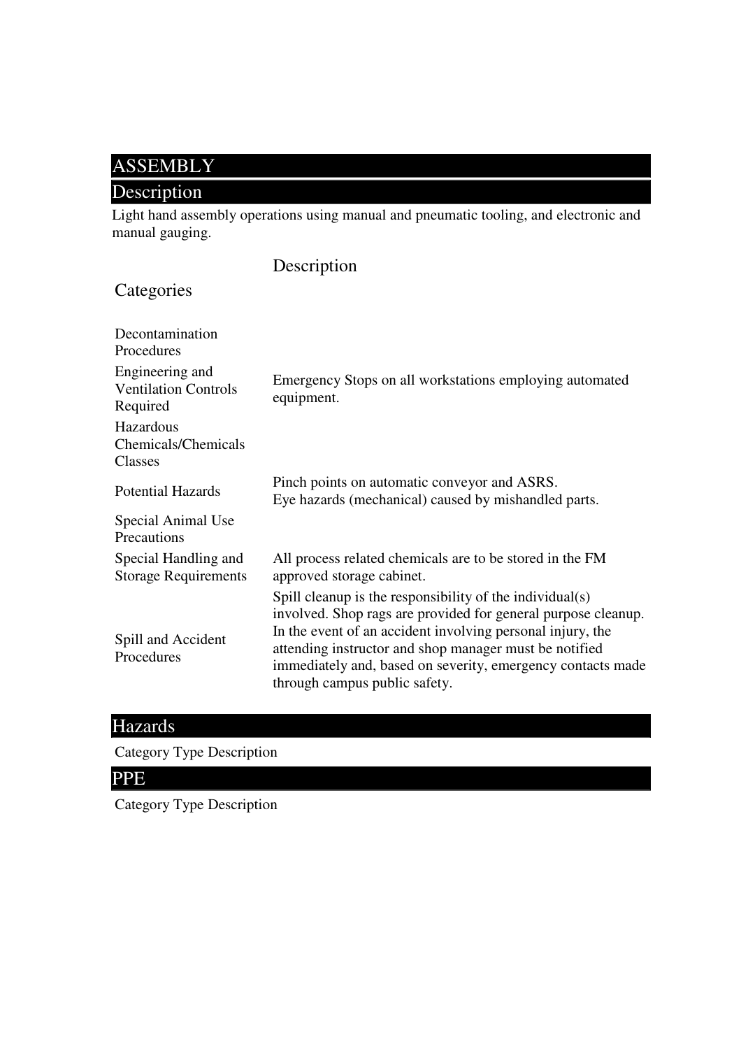### ASSEMBLY

### Description

Light hand assembly operations using manual and pneumatic tooling, and electronic and manual gauging.

|                                                            | Description                                                                                                                                                                                                                                                                                                                                       |
|------------------------------------------------------------|---------------------------------------------------------------------------------------------------------------------------------------------------------------------------------------------------------------------------------------------------------------------------------------------------------------------------------------------------|
| Categories                                                 |                                                                                                                                                                                                                                                                                                                                                   |
| Decontamination<br>Procedures                              |                                                                                                                                                                                                                                                                                                                                                   |
| Engineering and<br><b>Ventilation Controls</b><br>Required | Emergency Stops on all workstations employing automated<br>equipment.                                                                                                                                                                                                                                                                             |
| Hazardous<br>Chemicals/Chemicals<br>Classes                |                                                                                                                                                                                                                                                                                                                                                   |
| <b>Potential Hazards</b>                                   | Pinch points on automatic conveyor and ASRS.<br>Eye hazards (mechanical) caused by mishandled parts.                                                                                                                                                                                                                                              |
| Special Animal Use<br>Precautions                          |                                                                                                                                                                                                                                                                                                                                                   |
| Special Handling and<br><b>Storage Requirements</b>        | All process related chemicals are to be stored in the FM<br>approved storage cabinet.                                                                                                                                                                                                                                                             |
| Spill and Accident<br>Procedures                           | Spill cleanup is the responsibility of the individual(s)<br>involved. Shop rags are provided for general purpose cleanup.<br>In the event of an accident involving personal injury, the<br>attending instructor and shop manager must be notified<br>immediately and, based on severity, emergency contacts made<br>through campus public safety. |

### Hazards

Category Type Description

### PPE

Category Type Description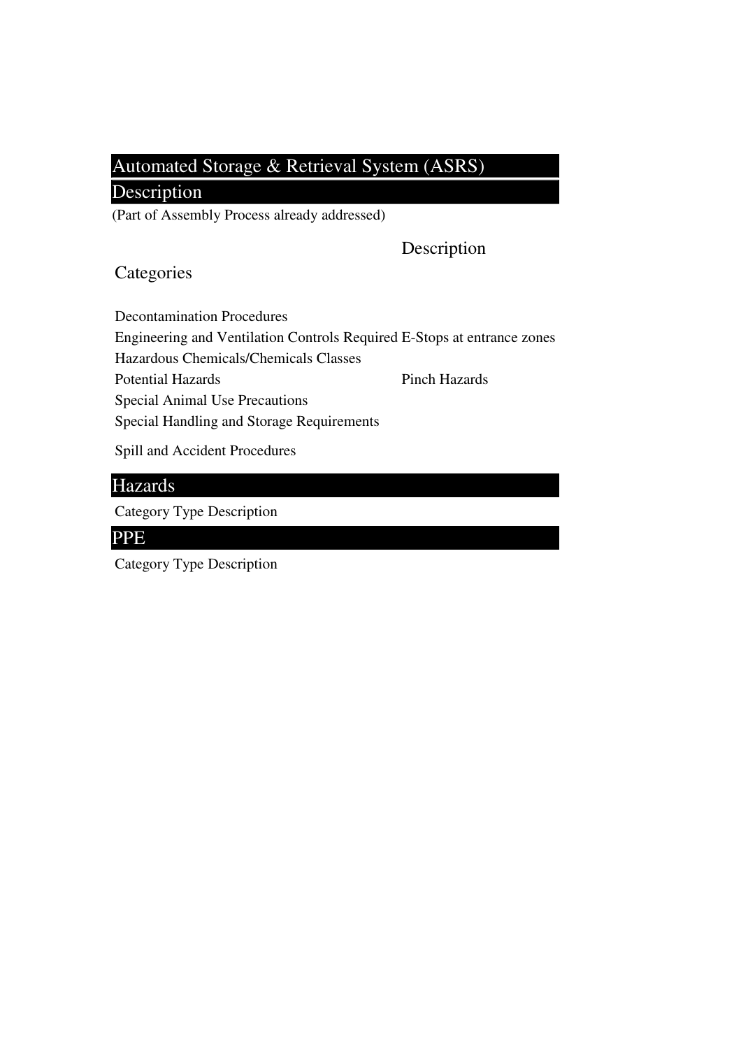### Automated Storage & Retrieval System (ASRS)

### Description

(Part of Assembly Process already addressed)

#### Description

#### **Categories**

Decontamination Procedures Engineering and Ventilation Controls Required E-Stops at entrance zones Hazardous Chemicals/Chemicals Classes Potential Hazards Pinch Hazards Special Animal Use Precautions Special Handling and Storage Requirements

Spill and Accident Procedures

#### Hazards

Category Type Description

#### PPE

Category Type Description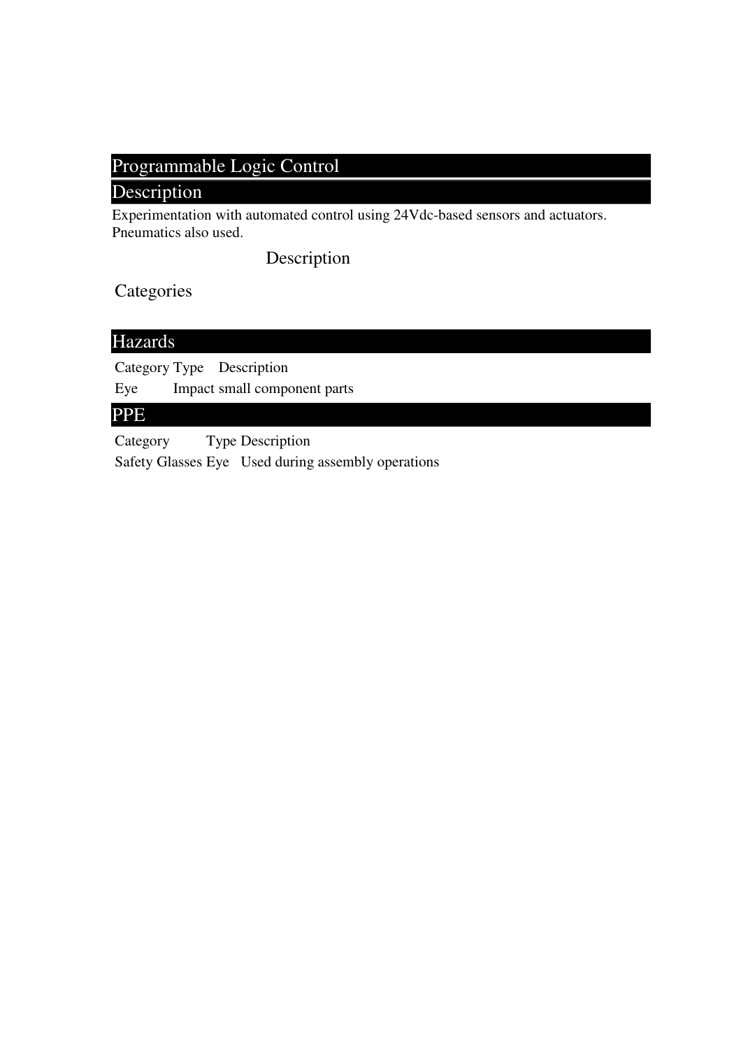## Programmable Logic Control

#### Description

Experimentation with automated control using 24Vdc-based sensors and actuators. Pneumatics also used.

Description

**Categories** 

### Hazards

Category Type Description Eye Impact small component parts

#### PPE

Category Type Description Safety Glasses Eye Used during assembly operations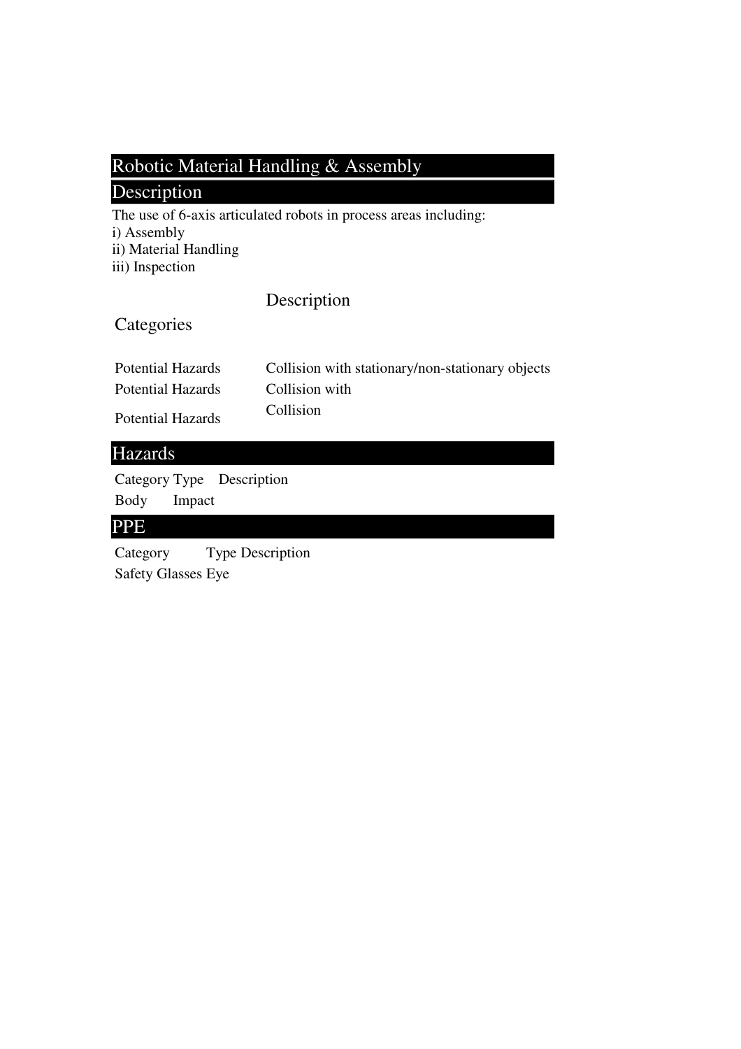### Robotic Material Handling & Assembly

### Description

The use of 6-axis articulated robots in process areas including:

i) Assembly

ii) Material Handling

iii) Inspection

### Description

### **Categories**

| <b>Potential Hazards</b> | Collision with stationary/non-stationary objects |
|--------------------------|--------------------------------------------------|
| <b>Potential Hazards</b> | Collision with                                   |
| <b>Potential Hazards</b> | Collision                                        |

#### Hazards

Category Type Description Body Impact

#### PPE

Category Type Description Safety Glasses Eye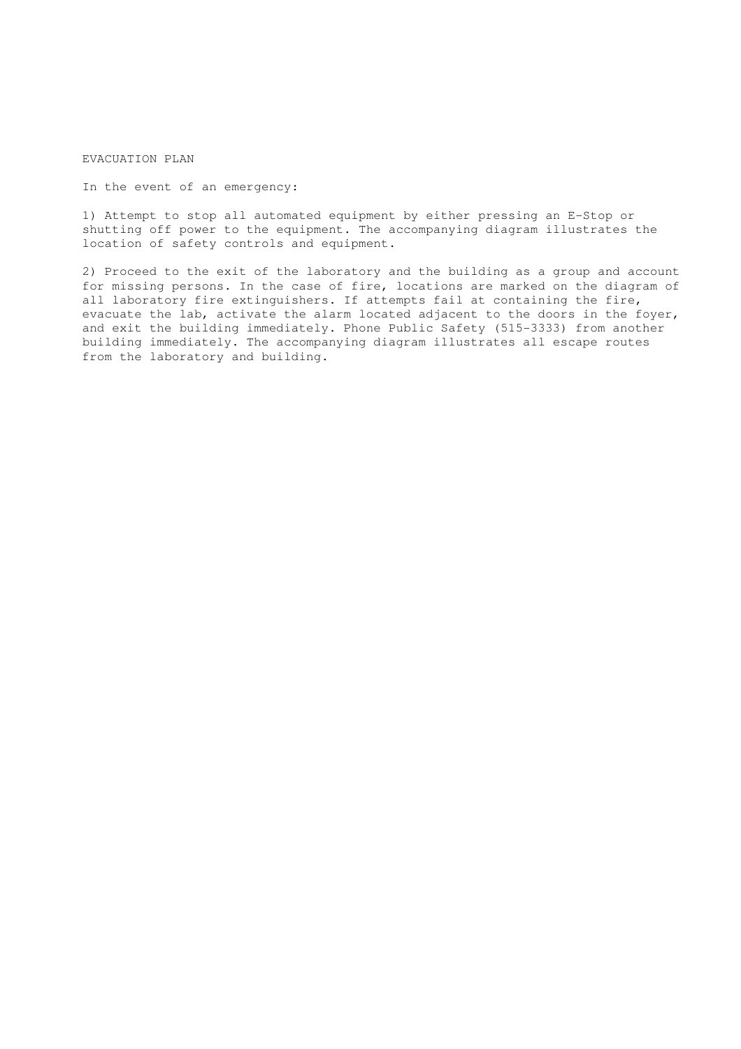EVACUATION PLAN

In the event of an emergency:

1) Attempt to stop all automated equipment by either pressing an E-Stop or shutting off power to the equipment. The accompanying diagram illustrates the location of safety controls and equipment.

2) Proceed to the exit of the laboratory and the building as a group and account for missing persons. In the case of fire, locations are marked on the diagram of all laboratory fire extinguishers. If attempts fail at containing the fire, evacuate the lab, activate the alarm located adjacent to the doors in the foyer, and exit the building immediately. Phone Public Safety (515-3333) from another building immediately. The accompanying diagram illustrates all escape routes from the laboratory and building.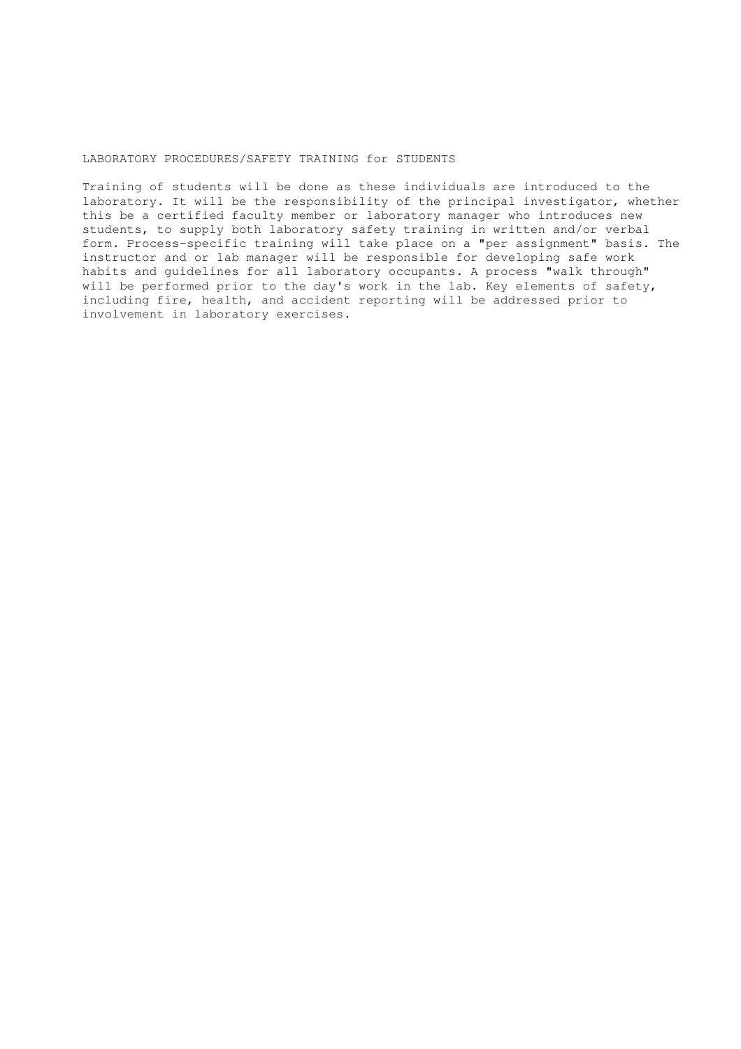#### LABORATORY PROCEDURES/SAFETY TRAINING for STUDENTS

Training of students will be done as these individuals are introduced to the laboratory. It will be the responsibility of the principal investigator, whether this be a certified faculty member or laboratory manager who introduces new students, to supply both laboratory safety training in written and/or verbal form. Process-specific training will take place on a "per assignment" basis. The instructor and or lab manager will be responsible for developing safe work habits and guidelines for all laboratory occupants. A process "walk through" will be performed prior to the day's work in the lab. Key elements of safety, including fire, health, and accident reporting will be addressed prior to involvement in laboratory exercises.